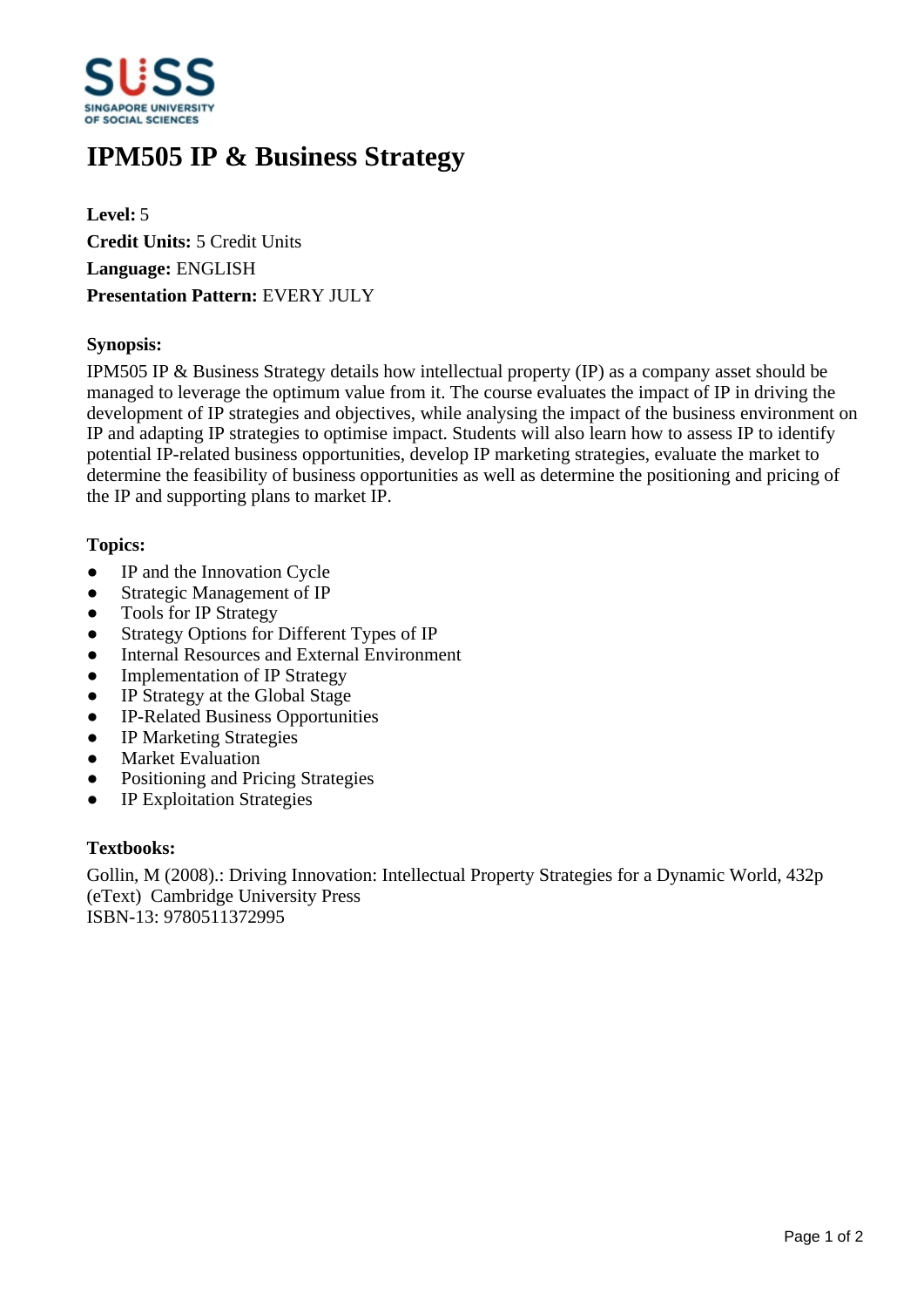

# **IPM505 IP & Business Strategy**

**Level:** 5 **Credit Units:** 5 Credit Units **Language:** ENGLISH **Presentation Pattern:** EVERY JULY

## **Synopsis:**

IPM505 IP & Business Strategy details how intellectual property (IP) as a company asset should be managed to leverage the optimum value from it. The course evaluates the impact of IP in driving the development of IP strategies and objectives, while analysing the impact of the business environment on IP and adapting IP strategies to optimise impact. Students will also learn how to assess IP to identify potential IP-related business opportunities, develop IP marketing strategies, evaluate the market to determine the feasibility of business opportunities as well as determine the positioning and pricing of the IP and supporting plans to market IP.

#### **Topics:**

- IP and the Innovation Cycle
- Strategic Management of IP
- Tools for IP Strategy
- Strategy Options for Different Types of IP
- Internal Resources and External Environment
- Implementation of IP Strategy
- IP Strategy at the Global Stage
- ƔIP-Related Business Opportunities
- IP Marketing Strategies
- Market Evaluation
- Positioning and Pricing Strategies
- IP Exploitation Strategies

#### **Textbooks:**

Gollin, M (2008).: Driving Innovation: Intellectual Property Strategies for a Dynamic World, 432p (eText) Cambridge University Press ISBN-13: 9780511372995